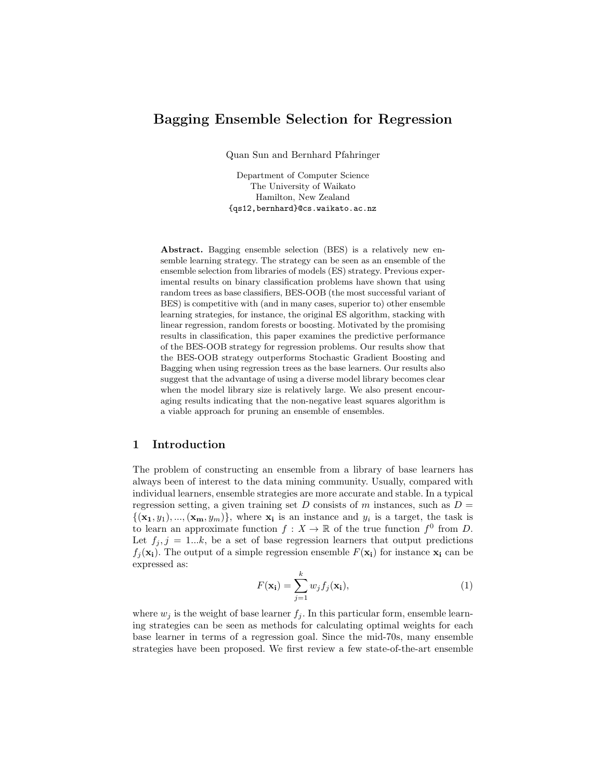# Bagging Ensemble Selection for Regression

Quan Sun and Bernhard Pfahringer

Department of Computer Science The University of Waikato Hamilton, New Zealand {qs12,bernhard}@cs.waikato.ac.nz

Abstract. Bagging ensemble selection (BES) is a relatively new ensemble learning strategy. The strategy can be seen as an ensemble of the ensemble selection from libraries of models (ES) strategy. Previous experimental results on binary classification problems have shown that using random trees as base classifiers, BES-OOB (the most successful variant of BES) is competitive with (and in many cases, superior to) other ensemble learning strategies, for instance, the original ES algorithm, stacking with linear regression, random forests or boosting. Motivated by the promising results in classification, this paper examines the predictive performance of the BES-OOB strategy for regression problems. Our results show that the BES-OOB strategy outperforms Stochastic Gradient Boosting and Bagging when using regression trees as the base learners. Our results also suggest that the advantage of using a diverse model library becomes clear when the model library size is relatively large. We also present encouraging results indicating that the non-negative least squares algorithm is a viable approach for pruning an ensemble of ensembles.

### 1 Introduction

The problem of constructing an ensemble from a library of base learners has always been of interest to the data mining community. Usually, compared with individual learners, ensemble strategies are more accurate and stable. In a typical regression setting, a given training set D consists of m instances, such as  $D =$  $\{(\mathbf{x_1}, y_1), ..., (\mathbf{x_m}, y_m)\}\$ , where  $\mathbf{x_i}$  is an instance and  $y_i$  is a target, the task is to learn an approximate function  $f: X \to \mathbb{R}$  of the true function  $f^0$  from D. Let  $f_j$ ,  $j = 1...k$ , be a set of base regression learners that output predictions  $f_i(\mathbf{x_i})$ . The output of a simple regression ensemble  $F(\mathbf{x_i})$  for instance  $\mathbf{x_i}$  can be expressed as:

$$
F(\mathbf{x_i}) = \sum_{j=1}^{k} w_j f_j(\mathbf{x_i}),
$$
\n(1)

where  $w_j$  is the weight of base learner  $f_j$ . In this particular form, ensemble learning strategies can be seen as methods for calculating optimal weights for each base learner in terms of a regression goal. Since the mid-70s, many ensemble strategies have been proposed. We first review a few state-of-the-art ensemble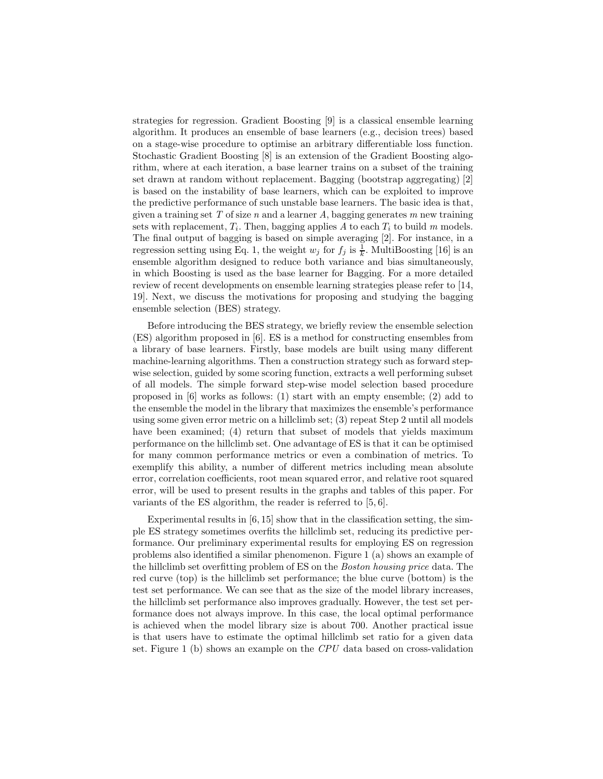strategies for regression. Gradient Boosting [9] is a classical ensemble learning algorithm. It produces an ensemble of base learners (e.g., decision trees) based on a stage-wise procedure to optimise an arbitrary differentiable loss function. Stochastic Gradient Boosting [8] is an extension of the Gradient Boosting algorithm, where at each iteration, a base learner trains on a subset of the training set drawn at random without replacement. Bagging (bootstrap aggregating) [2] is based on the instability of base learners, which can be exploited to improve the predictive performance of such unstable base learners. The basic idea is that, given a training set T of size n and a learner A, bagging generates m new training sets with replacement,  $T_i$ . Then, bagging applies A to each  $T_i$  to build m models. The final output of bagging is based on simple averaging [2]. For instance, in a regression setting using Eq. 1, the weight  $w_j$  for  $f_j$  is  $\frac{1}{k}$ . MultiBoosting [16] is an ensemble algorithm designed to reduce both variance and bias simultaneously, in which Boosting is used as the base learner for Bagging. For a more detailed review of recent developments on ensemble learning strategies please refer to [14, 19]. Next, we discuss the motivations for proposing and studying the bagging ensemble selection (BES) strategy.

Before introducing the BES strategy, we briefly review the ensemble selection (ES) algorithm proposed in [6]. ES is a method for constructing ensembles from a library of base learners. Firstly, base models are built using many different machine-learning algorithms. Then a construction strategy such as forward stepwise selection, guided by some scoring function, extracts a well performing subset of all models. The simple forward step-wise model selection based procedure proposed in [6] works as follows: (1) start with an empty ensemble; (2) add to the ensemble the model in the library that maximizes the ensemble's performance using some given error metric on a hillclimb set; (3) repeat Step 2 until all models have been examined; (4) return that subset of models that yields maximum performance on the hillclimb set. One advantage of ES is that it can be optimised for many common performance metrics or even a combination of metrics. To exemplify this ability, a number of different metrics including mean absolute error, correlation coefficients, root mean squared error, and relative root squared error, will be used to present results in the graphs and tables of this paper. For variants of the ES algorithm, the reader is referred to [5, 6].

Experimental results in [6, 15] show that in the classification setting, the simple ES strategy sometimes overfits the hillclimb set, reducing its predictive performance. Our preliminary experimental results for employing ES on regression problems also identified a similar phenomenon. Figure 1 (a) shows an example of the hillclimb set overfitting problem of ES on the Boston housing price data. The red curve (top) is the hillclimb set performance; the blue curve (bottom) is the test set performance. We can see that as the size of the model library increases, the hillclimb set performance also improves gradually. However, the test set performance does not always improve. In this case, the local optimal performance is achieved when the model library size is about 700. Another practical issue is that users have to estimate the optimal hillclimb set ratio for a given data set. Figure 1 (b) shows an example on the CPU data based on cross-validation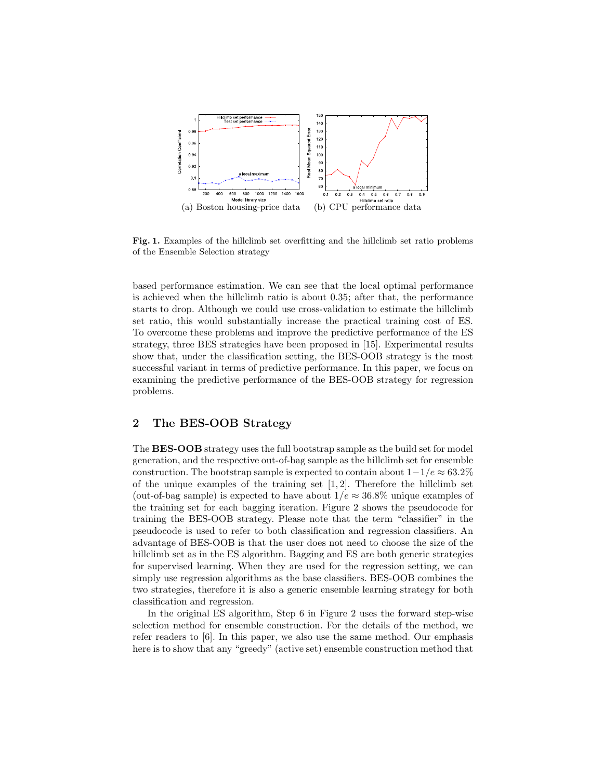

Fig. 1. Examples of the hillclimb set overfitting and the hillclimb set ratio problems of the Ensemble Selection strategy

based performance estimation. We can see that the local optimal performance is achieved when the hillclimb ratio is about 0.35; after that, the performance starts to drop. Although we could use cross-validation to estimate the hillclimb set ratio, this would substantially increase the practical training cost of ES. To overcome these problems and improve the predictive performance of the ES strategy, three BES strategies have been proposed in [15]. Experimental results show that, under the classification setting, the BES-OOB strategy is the most successful variant in terms of predictive performance. In this paper, we focus on examining the predictive performance of the BES-OOB strategy for regression problems.

# 2 The BES-OOB Strategy

The BES-OOB strategy uses the full bootstrap sample as the build set for model generation, and the respective out-of-bag sample as the hillclimb set for ensemble construction. The bootstrap sample is expected to contain about  $1-1/e \approx 63.2\%$ of the unique examples of the training set  $[1, 2]$ . Therefore the hillclimb set (out-of-bag sample) is expected to have about  $1/e \approx 36.8\%$  unique examples of the training set for each bagging iteration. Figure 2 shows the pseudocode for training the BES-OOB strategy. Please note that the term "classifier" in the pseudocode is used to refer to both classification and regression classifiers. An advantage of BES-OOB is that the user does not need to choose the size of the hillclimb set as in the ES algorithm. Bagging and ES are both generic strategies for supervised learning. When they are used for the regression setting, we can simply use regression algorithms as the base classifiers. BES-OOB combines the two strategies, therefore it is also a generic ensemble learning strategy for both classification and regression.

In the original ES algorithm, Step 6 in Figure 2 uses the forward step-wise selection method for ensemble construction. For the details of the method, we refer readers to [6]. In this paper, we also use the same method. Our emphasis here is to show that any "greedy" (active set) ensemble construction method that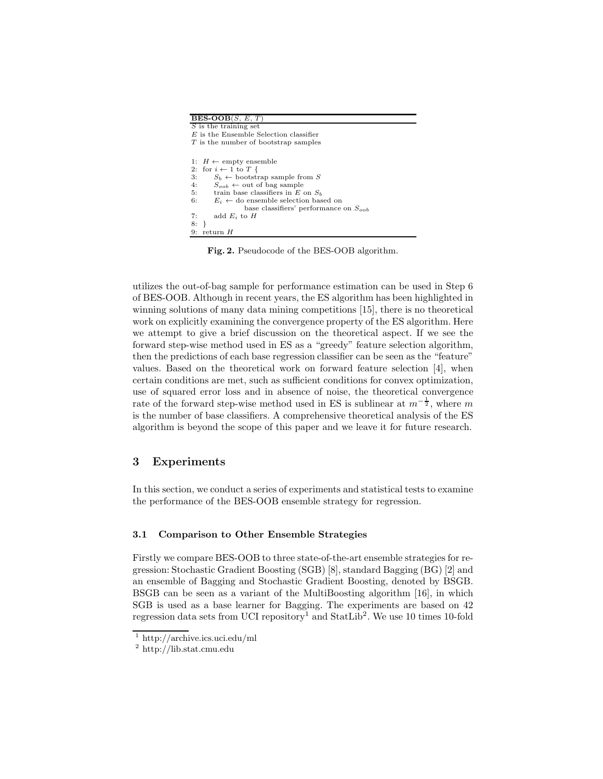| $\overline{\text{BES-OOB}}(S, E, T)$                  |
|-------------------------------------------------------|
| $S$ is the training set                               |
| $E$ is the Ensemble Selection classifier              |
| T is the number of bootstrap samples                  |
|                                                       |
| 1: $H \leftarrow \text{empty ensemble}$               |
| 2: for $i \leftarrow 1$ to T {                        |
| 3:<br>$S_b \leftarrow$ bootstrap sample from S        |
| 4:<br>$S_{\text{coh}} \leftarrow$ out of bag sample   |
| 5:<br>train base classifiers in E on $S_h$            |
| 6:<br>$E_i \leftarrow$ do ensemble selection based on |
| base classifiers' performance on $S_{oob}$            |
| 7:<br>add $E_i$ to H                                  |
| 8:                                                    |
| 9:<br>return H                                        |

Fig. 2. Pseudocode of the BES-OOB algorithm.

utilizes the out-of-bag sample for performance estimation can be used in Step 6 of BES-OOB. Although in recent years, the ES algorithm has been highlighted in winning solutions of many data mining competitions [15], there is no theoretical work on explicitly examining the convergence property of the ES algorithm. Here we attempt to give a brief discussion on the theoretical aspect. If we see the forward step-wise method used in ES as a "greedy" feature selection algorithm, then the predictions of each base regression classifier can be seen as the "feature" values. Based on the theoretical work on forward feature selection [4], when certain conditions are met, such as sufficient conditions for convex optimization, use of squared error loss and in absence of noise, the theoretical convergence rate of the forward step-wise method used in ES is sublinear at  $m^{-\frac{1}{2}}$ , where m is the number of base classifiers. A comprehensive theoretical analysis of the ES algorithm is beyond the scope of this paper and we leave it for future research.

# 3 Experiments

In this section, we conduct a series of experiments and statistical tests to examine the performance of the BES-OOB ensemble strategy for regression.

#### 3.1 Comparison to Other Ensemble Strategies

Firstly we compare BES-OOB to three state-of-the-art ensemble strategies for regression: Stochastic Gradient Boosting (SGB) [8], standard Bagging (BG) [2] and an ensemble of Bagging and Stochastic Gradient Boosting, denoted by BSGB. BSGB can be seen as a variant of the MultiBoosting algorithm [16], in which SGB is used as a base learner for Bagging. The experiments are based on 42 regression data sets from UCI repository<sup>1</sup> and StatLib<sup>2</sup>. We use 10 times 10-fold

<sup>1</sup> http://archive.ics.uci.edu/ml

<sup>2</sup> http://lib.stat.cmu.edu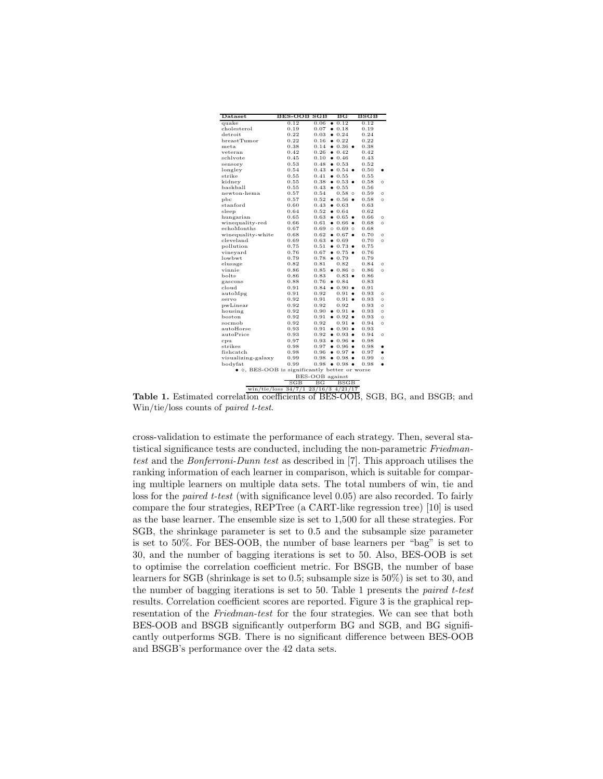| Dataset                                       | BES-OOB                               | SGB                   | $_{\rm BG}$              | $_{\rm BSGB}$ |           |
|-----------------------------------------------|---------------------------------------|-----------------------|--------------------------|---------------|-----------|
| quake                                         | 0.12                                  | 0.06                  | $\bullet$ 0.12           | 0.12          |           |
| cholesterol                                   | 0.19                                  | 0.07                  | 0.18                     | 0.19          |           |
| detroit                                       | 0.22                                  | 0.03                  | 0.24                     | 0.24          |           |
| breastTumor                                   | 0.22                                  | 0.16                  | 0.22                     | 0.22          |           |
| meta                                          | 0.38                                  | 0.14                  | $0.36$ $\bullet$         | 0.38          |           |
| veteran                                       | 0.42                                  | 0.26                  | 0.42                     | 0.42          |           |
| schlvote                                      | 0.45                                  | 0.10                  | 0.46                     | 0.43          |           |
| sensory                                       | 0.53                                  | 0.48                  | 0.53                     | 0.52          |           |
| longley                                       | 0.54                                  | 0.43                  | $0.54$ $\bullet$         | 0.50          |           |
| strike                                        | 0.55                                  | 0.41                  | 0.55                     | 0.55          |           |
| kidney                                        | 0.55                                  | 0.38                  | $0.53$ $\bullet$         | 0.58          | $\circ$   |
| baskball                                      | 0.55                                  | 0.43                  | 0.55                     | 0.56          |           |
| newton-hema                                   | 0.57                                  | 0.54                  | $0.58$ $\circ$           | 0.59          | $\circ$   |
| pbc                                           | 0.57                                  | 0.52                  | $\bullet$ 0.56 $\bullet$ | 0.58          | $\circ$   |
| $\operatorname{standard}$                     | 0.60                                  | 0.43                  | 0.63                     | 0.63          |           |
| sleep                                         | 0.64                                  | 0.52                  | 0.64                     | 0.62          |           |
| hungarian                                     | 0.65                                  | 0.63                  | $0.65$ $\bullet$         | 0.66          | $\circ$   |
| winequality-red                               | 0.66                                  | 0.61                  | $\bullet$ 0.66 $\bullet$ | 0.68          | $\circ$   |
| echoMonths                                    | 0.67                                  | 0.69                  | $0.69$ 0                 | 0.68          |           |
| winequality-white                             | 0.68                                  | 0.62                  | $\bullet$ 0.67 $\bullet$ | 0.70          | $\circ$   |
| cleveland                                     | 0.69                                  | 0.63                  | 0.69                     | 0.70          | $\circ$   |
| pollution                                     | 0.75                                  | 0.51                  | $0.73$ $\bullet$         | 0.75          |           |
| vineyard                                      | 0.76                                  | 0.67                  | $0.75$ $\bullet$         | 0.76          |           |
| lowbwt                                        | 0.79                                  | 0.78                  | 0.79                     | 0.79          |           |
| elusage                                       | 0.82                                  | 0.81                  | 0.82                     | 0.84          | O         |
| vinnie                                        | 0.86                                  | 0.85                  | $0.86$ 0                 | 0.86          | $\circ$   |
| bolts                                         | 0.86                                  | 0.83                  | $0.83$ $\bullet$         | 0.86          |           |
| gascons                                       | 0.88                                  | 0.76                  | 0.84                     | 0.83          |           |
| cloud                                         | 0.91                                  | 0.84                  | $\bullet$ 0.90 $\bullet$ | 0.91          |           |
| autoMpg                                       | 0.91                                  | 0.92                  | 0.91<br>$\bullet$        | 0.93          | $\circ$   |
| servo                                         | 0.92                                  | 0.91                  | $0.91$ $\bullet$         | 0.93          | $\circ$   |
| pwLinear                                      | 0.92                                  | 0.92                  | 0.92                     | 0.93          | $\circ$   |
| housing                                       | 0.92                                  | 0.90                  | $\bullet$ 0.91 $\bullet$ | 0.93          | $\circ$   |
| boston                                        | 0.92                                  | 0.91                  | $\bullet$ 0.92 $\bullet$ | 0.93          | $\circ$   |
| socmob                                        | 0.92                                  | 0.92                  | 0.91<br>$\bullet$        | 0.94          | $\circ$   |
| autoHorse                                     | 0.93                                  | 0.91                  | $\bullet$ 0.90 $\bullet$ | 0.93          |           |
| autoPrice                                     | 0.93                                  | 0.92                  | $\bullet$ 0.93 $\bullet$ | 0.94          | $\circ$   |
| cpu                                           | 0.97                                  | 0.93                  | $\bullet$ 0.96 $\bullet$ | 0.98          |           |
| strikes                                       | 0.98                                  | 0.97                  | $\bullet$ 0.96 $\bullet$ | 0.98          | ٠         |
| fishcatch                                     | 0.98                                  | 0.96                  | $0.97$ $\bullet$         | 0.97          | ٠         |
| visualizing-galaxy                            | 0.99                                  | 0.98                  | $\bullet$ 0.98 $\bullet$ | 0.99          | $\circ$   |
| bodyfat                                       | 0.99                                  | 0.98                  | $0.98$ $\bullet$         | 0.98          | $\bullet$ |
| • o, BES-OOB is significantly better or worse |                                       |                       |                          |               |           |
|                                               | SGB                                   | BES-OOB against<br>ВG |                          |               |           |
|                                               |                                       |                       | BSGB                     |               |           |
|                                               | win/tie/loss $34/7/1$ 23/16/3 4/21/17 |                       |                          |               |           |

Table 1. Estimated correlation coefficients of BES-OOB, SGB, BG, and BSGB; and Win/tie/loss counts of paired t-test.

cross-validation to estimate the performance of each strategy. Then, several statistical significance tests are conducted, including the non-parametric Friedmantest and the Bonferroni-Dunn test as described in [7]. This approach utilises the ranking information of each learner in comparison, which is suitable for comparing multiple learners on multiple data sets. The total numbers of win, tie and loss for the *paired t-test* (with significance level 0.05) are also recorded. To fairly compare the four strategies, REPTree (a CART-like regression tree) [10] is used as the base learner. The ensemble size is set to 1,500 for all these strategies. For SGB, the shrinkage parameter is set to 0.5 and the subsample size parameter is set to 50%. For BES-OOB, the number of base learners per "bag" is set to 30, and the number of bagging iterations is set to 50. Also, BES-OOB is set to optimise the correlation coefficient metric. For BSGB, the number of base learners for SGB (shrinkage is set to 0.5; subsample size is 50%) is set to 30, and the number of bagging iterations is set to 50. Table 1 presents the paired t-test results. Correlation coefficient scores are reported. Figure 3 is the graphical representation of the Friedman-test for the four strategies. We can see that both BES-OOB and BSGB significantly outperform BG and SGB, and BG significantly outperforms SGB. There is no significant difference between BES-OOB and BSGB's performance over the 42 data sets.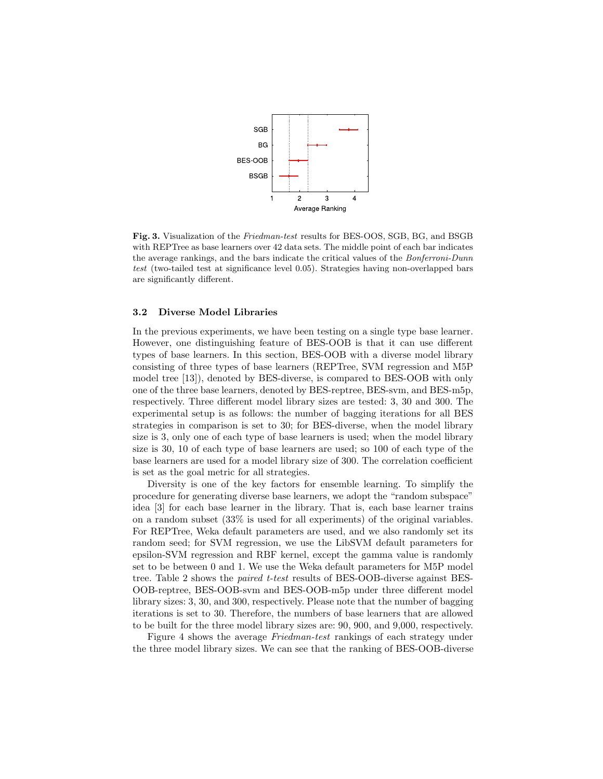

Fig. 3. Visualization of the Friedman-test results for BES-OOS, SGB, BG, and BSGB with REPTree as base learners over 42 data sets. The middle point of each bar indicates the average rankings, and the bars indicate the critical values of the Bonferroni-Dunn test (two-tailed test at significance level 0.05). Strategies having non-overlapped bars are significantly different.

#### 3.2 Diverse Model Libraries

In the previous experiments, we have been testing on a single type base learner. However, one distinguishing feature of BES-OOB is that it can use different types of base learners. In this section, BES-OOB with a diverse model library consisting of three types of base learners (REPTree, SVM regression and M5P model tree [13]), denoted by BES-diverse, is compared to BES-OOB with only one of the three base learners, denoted by BES-reptree, BES-svm, and BES-m5p, respectively. Three different model library sizes are tested: 3, 30 and 300. The experimental setup is as follows: the number of bagging iterations for all BES strategies in comparison is set to 30; for BES-diverse, when the model library size is 3, only one of each type of base learners is used; when the model library size is 30, 10 of each type of base learners are used; so 100 of each type of the base learners are used for a model library size of 300. The correlation coefficient is set as the goal metric for all strategies.

Diversity is one of the key factors for ensemble learning. To simplify the procedure for generating diverse base learners, we adopt the "random subspace" idea [3] for each base learner in the library. That is, each base learner trains on a random subset (33% is used for all experiments) of the original variables. For REPTree, Weka default parameters are used, and we also randomly set its random seed; for SVM regression, we use the LibSVM default parameters for epsilon-SVM regression and RBF kernel, except the gamma value is randomly set to be between 0 and 1. We use the Weka default parameters for M5P model tree. Table 2 shows the paired t-test results of BES-OOB-diverse against BES-OOB-reptree, BES-OOB-svm and BES-OOB-m5p under three different model library sizes: 3, 30, and 300, respectively. Please note that the number of bagging iterations is set to 30. Therefore, the numbers of base learners that are allowed to be built for the three model library sizes are: 90, 900, and 9,000, respectively.

Figure 4 shows the average Friedman-test rankings of each strategy under the three model library sizes. We can see that the ranking of BES-OOB-diverse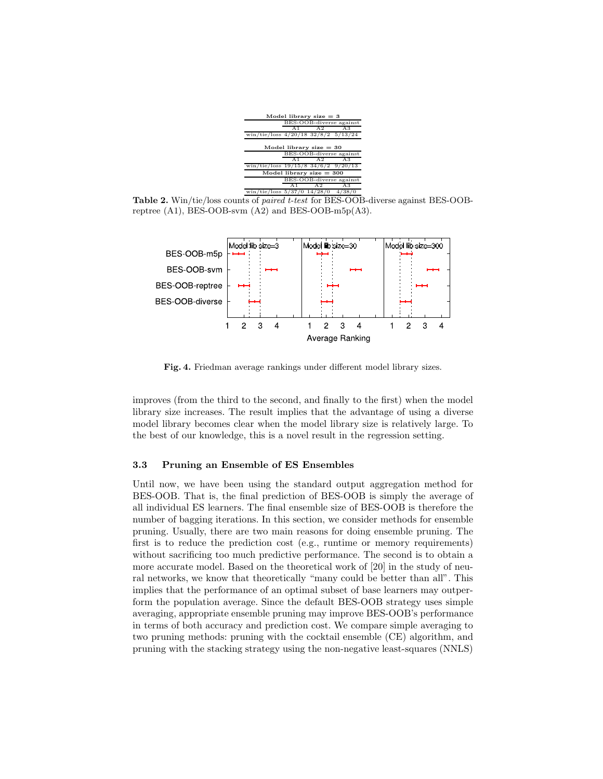

Table 2. Win/tie/loss counts of paired t-test for BES-OOB-diverse against BES-OOBreptree (A1), BES-OOB-svm (A2) and BES-OOB-m5p(A3).



Fig. 4. Friedman average rankings under different model library sizes.

improves (from the third to the second, and finally to the first) when the model library size increases. The result implies that the advantage of using a diverse model library becomes clear when the model library size is relatively large. To the best of our knowledge, this is a novel result in the regression setting.

#### 3.3 Pruning an Ensemble of ES Ensembles

Until now, we have been using the standard output aggregation method for BES-OOB. That is, the final prediction of BES-OOB is simply the average of all individual ES learners. The final ensemble size of BES-OOB is therefore the number of bagging iterations. In this section, we consider methods for ensemble pruning. Usually, there are two main reasons for doing ensemble pruning. The first is to reduce the prediction cost (e.g., runtime or memory requirements) without sacrificing too much predictive performance. The second is to obtain a more accurate model. Based on the theoretical work of [20] in the study of neural networks, we know that theoretically "many could be better than all". This implies that the performance of an optimal subset of base learners may outperform the population average. Since the default BES-OOB strategy uses simple averaging, appropriate ensemble pruning may improve BES-OOB's performance in terms of both accuracy and prediction cost. We compare simple averaging to two pruning methods: pruning with the cocktail ensemble (CE) algorithm, and pruning with the stacking strategy using the non-negative least-squares (NNLS)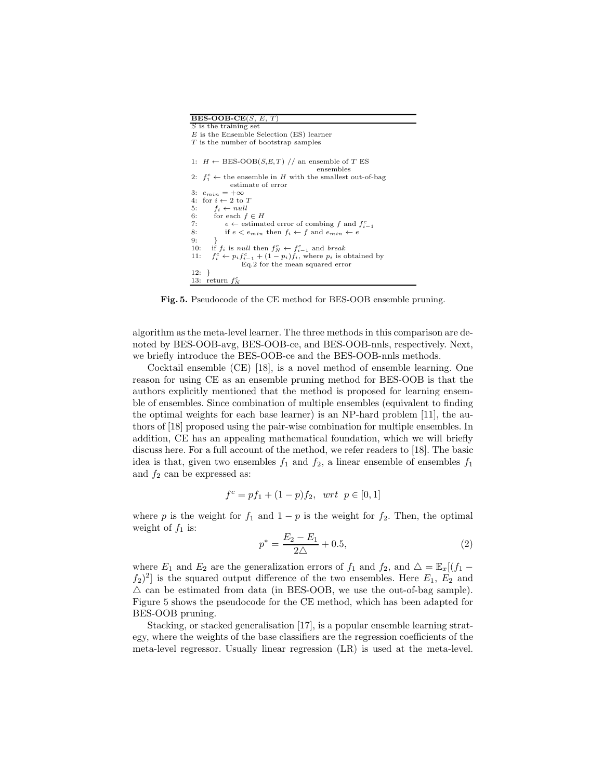| <b>BES-OOB-CE</b> $(S, E, T)$                                                        |
|--------------------------------------------------------------------------------------|
| S is the training set                                                                |
| $E$ is the Ensemble Selection (ES) learner                                           |
| $T$ is the number of bootstrap samples                                               |
|                                                                                      |
| 1: $H \leftarrow \text{BES-OOB}(S, E, T)$ // an ensemble of T ES<br>ensembles        |
| 2: $f_1^c \leftarrow$ the ensemble in H with the smallest out-of-bag                 |
| estimate of error                                                                    |
| 3: $e_{min} = +\infty$                                                               |
| for $i \leftarrow 2$ to T<br>4:                                                      |
| 5: $f_i \leftarrow null$                                                             |
| 6: for each $f \in H$                                                                |
| 7:<br>$e \leftarrow$ estimated error of combing f and $f_{i-1}^c$                    |
| if $e < e_{min}$ then $f_i \leftarrow f$ and $e_{min} \leftarrow e$<br>8:            |
| $9:$ }                                                                               |
| 10: if $f_i$ is null then $f_N^c \leftarrow f_{i-1}^c$ and break                     |
| $f_i^c \leftarrow p_i f_{i-1}^c + (1 - p_i) f_i$ , where $p_i$ is obtained by<br>11: |
| Eq.2 for the mean squared error                                                      |
| $12: \; \; \}$                                                                       |
| 13: return $f_N^c$                                                                   |

Fig. 5. Pseudocode of the CE method for BES-OOB ensemble pruning.

algorithm as the meta-level learner. The three methods in this comparison are denoted by BES-OOB-avg, BES-OOB-ce, and BES-OOB-nnls, respectively. Next, we briefly introduce the BES-OOB-ce and the BES-OOB-nnls methods.

Cocktail ensemble (CE) [18], is a novel method of ensemble learning. One reason for using CE as an ensemble pruning method for BES-OOB is that the authors explicitly mentioned that the method is proposed for learning ensemble of ensembles. Since combination of multiple ensembles (equivalent to finding the optimal weights for each base learner) is an NP-hard problem [11], the authors of [18] proposed using the pair-wise combination for multiple ensembles. In addition, CE has an appealing mathematical foundation, which we will briefly discuss here. For a full account of the method, we refer readers to [18]. The basic idea is that, given two ensembles  $f_1$  and  $f_2$ , a linear ensemble of ensembles  $f_1$ and  $f_2$  can be expressed as:

$$
f^c = pf_1 + (1 - p)f_2, \ \ wrt \ \ p \in [0, 1]
$$

where p is the weight for  $f_1$  and  $1 - p$  is the weight for  $f_2$ . Then, the optimal weight of  $f_1$  is:

$$
p^* = \frac{E_2 - E_1}{2\Delta} + 0.5,\tag{2}
$$

where  $E_1$  and  $E_2$  are the generalization errors of  $f_1$  and  $f_2$ , and  $\Delta = \mathbb{E}_x[(f_1 (f_2)^2$  is the squared output difference of the two ensembles. Here  $E_1, E_2$  and  $\triangle$  can be estimated from data (in BES-OOB, we use the out-of-bag sample). Figure 5 shows the pseudocode for the CE method, which has been adapted for BES-OOB pruning.

Stacking, or stacked generalisation [17], is a popular ensemble learning strategy, where the weights of the base classifiers are the regression coefficients of the meta-level regressor. Usually linear regression (LR) is used at the meta-level.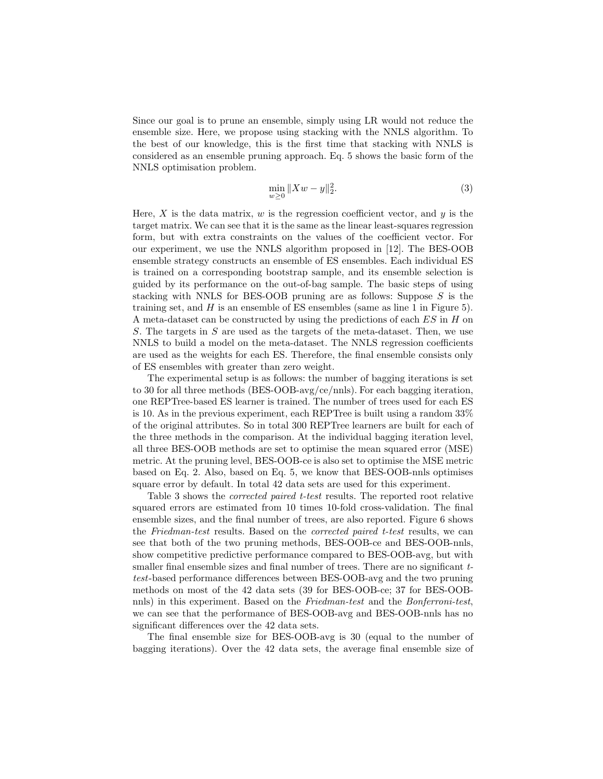Since our goal is to prune an ensemble, simply using LR would not reduce the ensemble size. Here, we propose using stacking with the NNLS algorithm. To the best of our knowledge, this is the first time that stacking with NNLS is considered as an ensemble pruning approach. Eq. 5 shows the basic form of the NNLS optimisation problem.

$$
\min_{w \ge 0} \|Xw - y\|_2^2. \tag{3}
$$

Here,  $X$  is the data matrix,  $w$  is the regression coefficient vector, and  $y$  is the target matrix. We can see that it is the same as the linear least-squares regression form, but with extra constraints on the values of the coefficient vector. For our experiment, we use the NNLS algorithm proposed in [12]. The BES-OOB ensemble strategy constructs an ensemble of ES ensembles. Each individual ES is trained on a corresponding bootstrap sample, and its ensemble selection is guided by its performance on the out-of-bag sample. The basic steps of using stacking with NNLS for BES-OOB pruning are as follows: Suppose  $S$  is the training set, and  $H$  is an ensemble of ES ensembles (same as line 1 in Figure 5). A meta-dataset can be constructed by using the predictions of each ES in H on S. The targets in S are used as the targets of the meta-dataset. Then, we use NNLS to build a model on the meta-dataset. The NNLS regression coefficients are used as the weights for each ES. Therefore, the final ensemble consists only of ES ensembles with greater than zero weight.

The experimental setup is as follows: the number of bagging iterations is set to 30 for all three methods (BES-OOB-avg/ce/nnls). For each bagging iteration, one REPTree-based ES learner is trained. The number of trees used for each ES is 10. As in the previous experiment, each REPTree is built using a random 33% of the original attributes. So in total 300 REPTree learners are built for each of the three methods in the comparison. At the individual bagging iteration level, all three BES-OOB methods are set to optimise the mean squared error (MSE) metric. At the pruning level, BES-OOB-ce is also set to optimise the MSE metric based on Eq. 2. Also, based on Eq. 5, we know that BES-OOB-nnls optimises square error by default. In total 42 data sets are used for this experiment.

Table 3 shows the corrected paired t-test results. The reported root relative squared errors are estimated from 10 times 10-fold cross-validation. The final ensemble sizes, and the final number of trees, are also reported. Figure 6 shows the Friedman-test results. Based on the corrected paired t-test results, we can see that both of the two pruning methods, BES-OOB-ce and BES-OOB-nnls, show competitive predictive performance compared to BES-OOB-avg, but with smaller final ensemble sizes and final number of trees. There are no significant  $t$ test-based performance differences between BES-OOB-avg and the two pruning methods on most of the 42 data sets (39 for BES-OOB-ce; 37 for BES-OOBnnls) in this experiment. Based on the Friedman-test and the Bonferroni-test, we can see that the performance of BES-OOB-avg and BES-OOB-nnls has no significant differences over the 42 data sets.

The final ensemble size for BES-OOB-avg is 30 (equal to the number of bagging iterations). Over the 42 data sets, the average final ensemble size of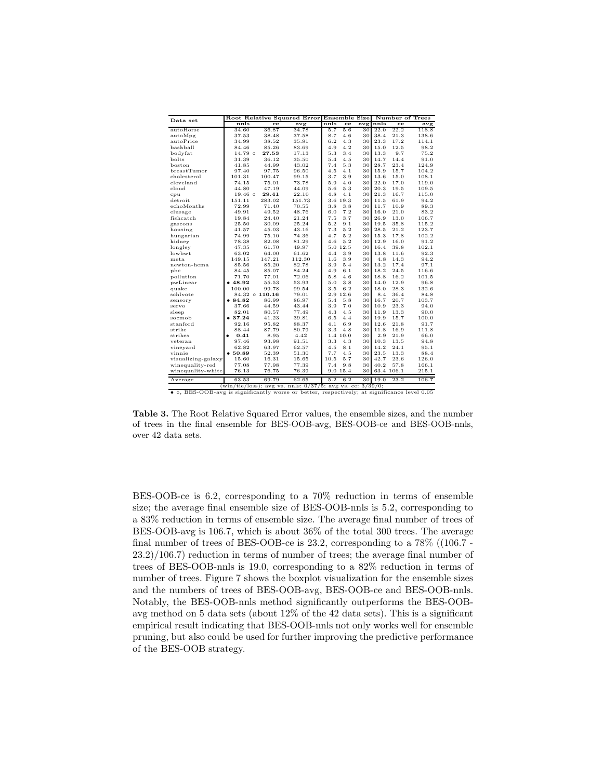| Data set                                                                                           |                   |                      | Root Relative Squared Error |      | Ensemble Size |     |      | Number of Trees |       |
|----------------------------------------------------------------------------------------------------|-------------------|----------------------|-----------------------------|------|---------------|-----|------|-----------------|-------|
|                                                                                                    | nnls              | ce                   | avg                         | nnls | ce            | avg | nnls | ce              | avg   |
| autoHorse                                                                                          | 34.60             | 36.87                | 34.78                       | 5.7  | 5.6           | 30  | 22.0 | 22.2            | 118.8 |
| autoMpg                                                                                            | 37.53             | 38.48                | 37.58                       | 8.7  | 4.6           | 30  | 38.4 | 21.3            | 138.6 |
| autoPrice                                                                                          | 34.99             | 38.52                | 35.91                       | 6.2  | 4.3           | 30  | 23.3 | 17.2            | 114.1 |
| baskball                                                                                           | 84.46             | 85.26                | 83.69                       | 4.9  | 4.2           | 30  | 15.0 | 12.5            | 98.2  |
| bodyfat                                                                                            | $14.79$ $\circ$   | 27.53                | 17.13                       | 5.3  | 3.4           | 30  | 13.3 | 9.7             | 75.2  |
| bolts                                                                                              | 31.39             | 36.12                | 35.50                       | 5.4  | 4.5           | 30  | 14.7 | 14.4            | 91.0  |
| boston                                                                                             | 41.85             | 44.99                | 43.02                       | 7.4  | 5.3           | 30  | 28.7 | 23.4            | 124.9 |
| breastTumor                                                                                        | 97.40             | 97.75                | 96.50                       | 4.5  | 4.1           | 30  | 15.9 | 15.7            | 104.2 |
| cholesterol                                                                                        | 101.31            | 100.47               | 99.15                       | 3.7  | 3.9           | 30  | 13.6 | 15.0            | 108.1 |
| cleveland                                                                                          | 74.15             | 75.01                | 73.78                       | 5.9  | 4.0           | 30  | 22.0 | 17.0            | 119.0 |
| cloud                                                                                              | 44.80             | 47.19                | 44.09                       | 5.6  | 5.3           | 30  | 20.3 | 19.5            | 109.5 |
| cpu                                                                                                | $19.46\circ$      | 29.41                | 22.10                       | 4.8  | 4.1           | 30  | 21.3 | 16.7            | 115.0 |
| detroit                                                                                            | 151.11            | 283.02               | 151.73                      |      | 3.6 19.3      | 30  | 11.5 | 61.9            | 94.2  |
| echoMonths                                                                                         | 72.99             | 71.40                | 70.55                       | 3.8  | 3.8           | 30  | 11.7 | 10.9            | 89.3  |
| elusage                                                                                            | 49.91             | 49.52                | 48.76                       | 6.0  | 7.2           | 30  | 16.0 | 21.0            | 83.2  |
| fishcatch                                                                                          | 19.84             | 24.40                | 21.24                       | 7.5  | 3.7           | 30  | 26.9 | 13.0            | 106.7 |
| gascons                                                                                            | 25.50             | 30.09                | 25.24                       | 5.2  | 9.1           | 30  | 19.5 | 35.8            | 115.2 |
| housing                                                                                            | 41.57             | 45.03                | 43.16                       | 7.3  | 5.2           | 30  | 28.5 | 21.2            | 123.7 |
| hungarian                                                                                          | 74.99             | 75.10                | 74.36                       | 4.7  | 5.2           | 30  | 15.3 | 17.8            | 102.2 |
| kidney                                                                                             | 78.38             | 82.08                | 81.29                       | 4.6  | 5.2           | 30  | 12.9 | 16.0            | 91.2  |
| longley                                                                                            | 47.35             | 61.70                | 49.97                       |      | 5.0 12.5      | 30  | 16.4 | 39.8            | 102.1 |
| lowbwt                                                                                             | 63.02             | 64.00                | 61.62                       | 4.4  | 3.9           | 30  | 13.8 | 11.6            | 92.3  |
| meta                                                                                               | 149.15            | 147.21               | 112.30                      | 1.6  | 3.9           | 30  | 4.8  | 14.3            | 94.2  |
| newton-hema                                                                                        | 85.56             | 85.20                | 82.78                       | 3.9  | 5.4           | 30  | 13.2 | 17.4            | 97.1  |
| pbc                                                                                                | 84.45             | 85.07                | 84.24                       | 4.9  | 6.1           | 30  | 18.2 | 24.5            | 116.6 |
| pollution                                                                                          | 71.70             | 77.01                | 72.06                       | 5.8  | 4.6           | 30  | 18.8 | 16.2            | 101.5 |
| pwLinear                                                                                           | •48.92            | 55.53                | 53.93                       | 5.0  | 3.8           | 30  | 14.0 | 12.9            | 96.8  |
| quake                                                                                              | 100.00            | 99.78                | 99.54                       | 3.5  | 6.2           | 30  | 18.0 | 28.3            | 132.6 |
| schlvote                                                                                           |                   | $84.32 \circ 110.16$ | 79.01                       |      | 2.9 12.6      | 30  | 8.4  | 36.4            | 84.8  |
| sensory                                                                                            | •84.82            | 86.99                | 86.97                       | 5.4  | 5.8           | 30  | 16.7 | 20.7            | 103.7 |
| servo                                                                                              | 37.66             | 44.59                | 43.44                       | 3.9  | 7.0           | 30  | 10.9 | 23.3            | 94.0  |
| sleep                                                                                              | 82.01             | 80.57                | 77.49                       | 4.3  | 4.5           | 30  | 11.9 | 13.3            | 90.0  |
| socmob                                                                                             | • 37.24           | 41.23                | 39.81                       | 6.5  | 4.4           | 30  | 19.9 | 15.7            | 100.0 |
| stanford                                                                                           | 92.16             | 95.82                | 88.37                       | 4.1  | 6.9           | 30  | 12.6 | 21.8            | 91.7  |
| strike                                                                                             | 88.44             | 87.79                | 80.79                       | 3.3  | 4.8           | 30  | 11.8 | 16.9            | 111.8 |
| strikes                                                                                            | 0.41<br>$\bullet$ | 8.95                 | 4.42                        |      | 1.4 10.0      | 30  | 2.9  | 21.9            | 66.0  |
| veteran                                                                                            | 97.46             | 93.98                | 91.51                       | 3.3  | 4.3           | 30  | 10.3 | 13.5            | 94.8  |
| vineyard                                                                                           | 62.82             | 63.97                | 62.57                       | 4.5  | 8.1           | 30  | 14.2 | 24.1            | 95.1  |
| vinnie                                                                                             | •50.89            | 52.39                | 51.30                       | 7.7  | 4.5           | 30  | 23.5 | 13.3            | 88.4  |
| visualizing-galaxy                                                                                 | 15.60             | 16.31                | 15.65                       | 10.5 | 5.7           | 30  | 42.7 | 23.6            | 126.0 |
| winequality-red                                                                                    | 77.08             | 77.98                | 77.39                       | 7.4  | 9.8           | 30  | 40.2 | 57.8            | 166.1 |
| winequality-white                                                                                  | 76.13             | 76.75                | 76.39                       |      | 9.0 15.4      | 30  |      | 63.4 106.1      | 215.1 |
| Average                                                                                            | 63.53             | 69.79                | 62.65                       | 5.2  | 6.2           | 30  | 19.0 | 23.2            | 106.7 |
| (win/tie/loss); avg vs. nnls: $0/37/5$ ; avg vs. ce: $3/39/0$ ;                                    |                   |                      |                             |      |               |     |      |                 |       |
| • $\circ$ , BES-OOB-avg is significantly worse or better, respectively; at significance level 0.05 |                   |                      |                             |      |               |     |      |                 |       |

Table 3. The Root Relative Squared Error values, the ensemble sizes, and the number of trees in the final ensemble for BES-OOB-avg, BES-OOB-ce and BES-OOB-nnls, over 42 data sets.

BES-OOB-ce is 6.2, corresponding to a 70% reduction in terms of ensemble size; the average final ensemble size of BES-OOB-nnls is 5.2, corresponding to a 83% reduction in terms of ensemble size. The average final number of trees of BES-OOB-avg is 106.7, which is about 36% of the total 300 trees. The average final number of trees of BES-OOB-ce is 23.2, corresponding to a 78% ((106.7 - 23.2)/106.7) reduction in terms of number of trees; the average final number of trees of BES-OOB-nnls is 19.0, corresponding to a 82% reduction in terms of number of trees. Figure 7 shows the boxplot visualization for the ensemble sizes and the numbers of trees of BES-OOB-avg, BES-OOB-ce and BES-OOB-nnls. Notably, the BES-OOB-nnls method significantly outperforms the BES-OOBavg method on 5 data sets (about 12% of the 42 data sets). This is a significant empirical result indicating that BES-OOB-nnls not only works well for ensemble pruning, but also could be used for further improving the predictive performance of the BES-OOB strategy.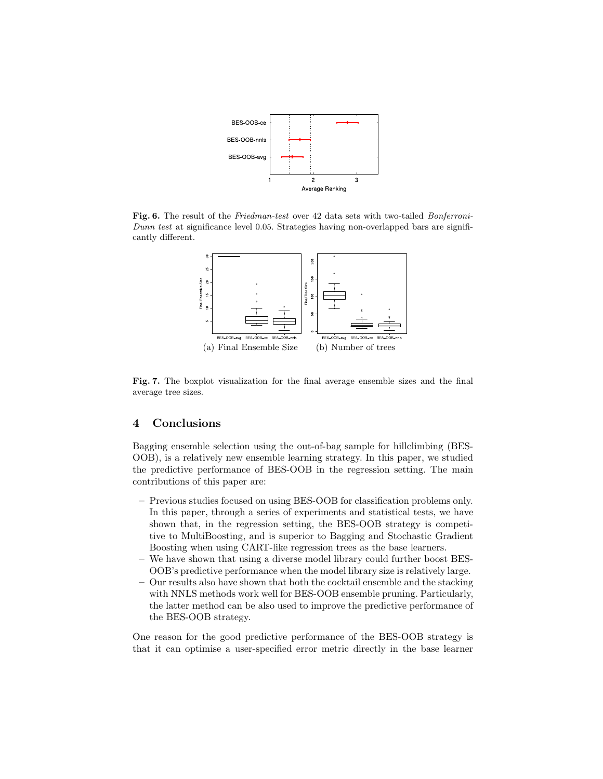

Fig. 6. The result of the Friedman-test over 42 data sets with two-tailed Bonferroni-Dunn test at significance level 0.05. Strategies having non-overlapped bars are significantly different.



Fig. 7. The boxplot visualization for the final average ensemble sizes and the final average tree sizes.

#### 4 Conclusions

Bagging ensemble selection using the out-of-bag sample for hillclimbing (BES-OOB), is a relatively new ensemble learning strategy. In this paper, we studied the predictive performance of BES-OOB in the regression setting. The main contributions of this paper are:

- Previous studies focused on using BES-OOB for classification problems only. In this paper, through a series of experiments and statistical tests, we have shown that, in the regression setting, the BES-OOB strategy is competitive to MultiBoosting, and is superior to Bagging and Stochastic Gradient Boosting when using CART-like regression trees as the base learners.
- We have shown that using a diverse model library could further boost BES-OOB's predictive performance when the model library size is relatively large.
- Our results also have shown that both the cocktail ensemble and the stacking with NNLS methods work well for BES-OOB ensemble pruning. Particularly, the latter method can be also used to improve the predictive performance of the BES-OOB strategy.

One reason for the good predictive performance of the BES-OOB strategy is that it can optimise a user-specified error metric directly in the base learner